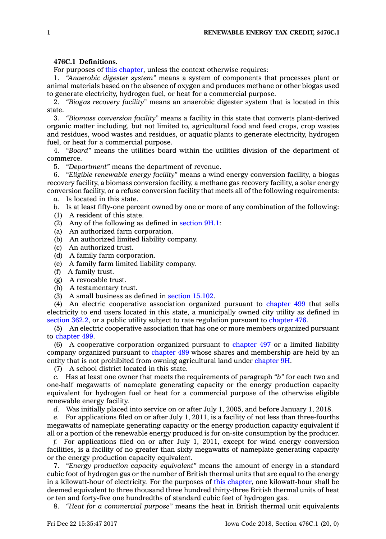## **476C.1 Definitions.**

For purposes of this [chapter](https://www.legis.iowa.gov/docs/code//476C.pdf), unless the context otherwise requires:

1. *"Anaerobic digester system"* means <sup>a</sup> system of components that processes plant or animal materials based on the absence of oxygen and produces methane or other biogas used to generate electricity, hydrogen fuel, or heat for <sup>a</sup> commercial purpose.

2. *"Biogas recovery facility"* means an anaerobic digester system that is located in this state.

3. *"Biomass conversion facility"* means <sup>a</sup> facility in this state that converts plant-derived organic matter including, but not limited to, agricultural food and feed crops, crop wastes and residues, wood wastes and residues, or aquatic plants to generate electricity, hydrogen fuel, or heat for <sup>a</sup> commercial purpose.

4. *"Board"* means the utilities board within the utilities division of the department of commerce.

5. *"Department"* means the department of revenue.

6. *"Eligible renewable energy facility"* means <sup>a</sup> wind energy conversion facility, <sup>a</sup> biogas recovery facility, <sup>a</sup> biomass conversion facility, <sup>a</sup> methane gas recovery facility, <sup>a</sup> solar energy conversion facility, or <sup>a</sup> refuse conversion facility that meets all of the following requirements:

*a.* Is located in this state.

*b.* Is at least fifty-one percent owned by one or more of any combination of the following:

- (1) A resident of this state.
- (2) Any of the following as defined in [section](https://www.legis.iowa.gov/docs/code/9H.1.pdf) 9H.1:
- (a) An authorized farm corporation.
- (b) An authorized limited liability company.
- (c) An authorized trust.
- (d) A family farm corporation.
- (e) A family farm limited liability company.
- (f) A family trust.
- (g) A revocable trust.
- (h) A testamentary trust.
- (3) A small business as defined in [section](https://www.legis.iowa.gov/docs/code/15.102.pdf) 15.102.

(4) An electric cooperative association organized pursuant to [chapter](https://www.legis.iowa.gov/docs/code//499.pdf) 499 that sells electricity to end users located in this state, <sup>a</sup> municipally owned city utility as defined in [section](https://www.legis.iowa.gov/docs/code/362.2.pdf) 362.2, or <sup>a</sup> public utility subject to rate regulation pursuant to [chapter](https://www.legis.iowa.gov/docs/code//476.pdf) 476.

(5) An electric cooperative association that has one or more members organized pursuant to [chapter](https://www.legis.iowa.gov/docs/code//499.pdf) 499.

(6) A cooperative corporation organized pursuant to [chapter](https://www.legis.iowa.gov/docs/code//497.pdf) 497 or <sup>a</sup> limited liability company organized pursuant to [chapter](https://www.legis.iowa.gov/docs/code//489.pdf) 489 whose shares and membership are held by an entity that is not prohibited from owning agricultural land under [chapter](https://www.legis.iowa.gov/docs/code//9H.pdf) 9H.

(7) A school district located in this state.

*c.* Has at least one owner that meets the requirements of paragraph *"b"* for each two and one-half megawatts of nameplate generating capacity or the energy production capacity equivalent for hydrogen fuel or heat for <sup>a</sup> commercial purpose of the otherwise eligible renewable energy facility.

*d.* Was initially placed into service on or after July 1, 2005, and before January 1, 2018.

*e.* For applications filed on or after July 1, 2011, is <sup>a</sup> facility of not less than three-fourths megawatts of nameplate generating capacity or the energy production capacity equivalent if all or <sup>a</sup> portion of the renewable energy produced is for on-site consumption by the producer.

*f.* For applications filed on or after July 1, 2011, except for wind energy conversion facilities, is <sup>a</sup> facility of no greater than sixty megawatts of nameplate generating capacity or the energy production capacity equivalent.

7. *"Energy production capacity equivalent"* means the amount of energy in <sup>a</sup> standard cubic foot of hydrogen gas or the number of British thermal units that are equal to the energy in <sup>a</sup> kilowatt-hour of electricity. For the purposes of this [chapter](https://www.legis.iowa.gov/docs/code//476C.pdf), one kilowatt-hour shall be deemed equivalent to three thousand three hundred thirty-three British thermal units of heat or ten and forty-five one hundredths of standard cubic feet of hydrogen gas.

8. *"Heat for <sup>a</sup> commercial purpose"* means the heat in British thermal unit equivalents